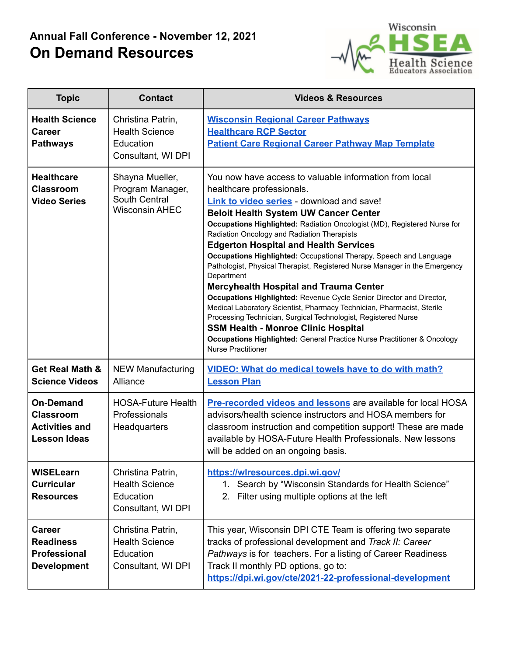## **Annual Fall Conference - November 12, 2021 On Demand Resources**



| <b>Topic</b>                                                                         | <b>Contact</b>                                                                | <b>Videos &amp; Resources</b>                                                                                                                                                                                                                                                                                                                                                                                                                                                                                                                                                                                                                                                                                                                                                                                                                                                                                                                            |
|--------------------------------------------------------------------------------------|-------------------------------------------------------------------------------|----------------------------------------------------------------------------------------------------------------------------------------------------------------------------------------------------------------------------------------------------------------------------------------------------------------------------------------------------------------------------------------------------------------------------------------------------------------------------------------------------------------------------------------------------------------------------------------------------------------------------------------------------------------------------------------------------------------------------------------------------------------------------------------------------------------------------------------------------------------------------------------------------------------------------------------------------------|
| <b>Health Science</b><br><b>Career</b><br><b>Pathways</b>                            | Christina Patrin,<br><b>Health Science</b><br>Education<br>Consultant, WI DPI | <b>Wisconsin Regional Career Pathways</b><br><b>Healthcare RCP Sector</b><br><b>Patient Care Regional Career Pathway Map Template</b>                                                                                                                                                                                                                                                                                                                                                                                                                                                                                                                                                                                                                                                                                                                                                                                                                    |
| <b>Healthcare</b><br><b>Classroom</b><br><b>Video Series</b>                         | Shayna Mueller,<br>Program Manager,<br>South Central<br><b>Wisconsin AHEC</b> | You now have access to valuable information from local<br>healthcare professionals.<br>Link to video series - download and save!<br><b>Beloit Health System UW Cancer Center</b><br>Occupations Highlighted: Radiation Oncologist (MD), Registered Nurse for<br>Radiation Oncology and Radiation Therapists<br><b>Edgerton Hospital and Health Services</b><br>Occupations Highlighted: Occupational Therapy, Speech and Language<br>Pathologist, Physical Therapist, Registered Nurse Manager in the Emergency<br>Department<br><b>Mercyhealth Hospital and Trauma Center</b><br>Occupations Highlighted: Revenue Cycle Senior Director and Director,<br>Medical Laboratory Scientist, Pharmacy Technician, Pharmacist, Sterile<br>Processing Technician, Surgical Technologist, Registered Nurse<br><b>SSM Health - Monroe Clinic Hospital</b><br>Occupations Highlighted: General Practice Nurse Practitioner & Oncology<br><b>Nurse Practitioner</b> |
| <b>Get Real Math &amp;</b><br><b>Science Videos</b>                                  | <b>NEW Manufacturing</b><br>Alliance                                          | <b>VIDEO: What do medical towels have to do with math?</b><br><b>Lesson Plan</b>                                                                                                                                                                                                                                                                                                                                                                                                                                                                                                                                                                                                                                                                                                                                                                                                                                                                         |
| <b>On-Demand</b><br><b>Classroom</b><br><b>Activities and</b><br><b>Lesson Ideas</b> | <b>HOSA-Future Health</b><br>Professionals<br>Headquarters                    | <b>Pre-recorded videos and lessons</b> are available for local HOSA<br>advisors/health science instructors and HOSA members for<br>classroom instruction and competition support! These are made<br>available by HOSA-Future Health Professionals. New lessons<br>will be added on an ongoing basis.                                                                                                                                                                                                                                                                                                                                                                                                                                                                                                                                                                                                                                                     |
| <b>WISELearn</b><br><b>Curricular</b><br><b>Resources</b>                            | Christina Patrin,<br><b>Health Science</b><br>Education<br>Consultant, WI DPI | https://wlresources.dpi.wi.gov/<br>1. Search by "Wisconsin Standards for Health Science"<br>2. Filter using multiple options at the left                                                                                                                                                                                                                                                                                                                                                                                                                                                                                                                                                                                                                                                                                                                                                                                                                 |
| <b>Career</b><br><b>Readiness</b><br>Professional<br><b>Development</b>              | Christina Patrin,<br><b>Health Science</b><br>Education<br>Consultant, WI DPI | This year, Wisconsin DPI CTE Team is offering two separate<br>tracks of professional development and Track II: Career<br>Pathways is for teachers. For a listing of Career Readiness<br>Track II monthly PD options, go to:<br>https://dpi.wi.gov/cte/2021-22-professional-development                                                                                                                                                                                                                                                                                                                                                                                                                                                                                                                                                                                                                                                                   |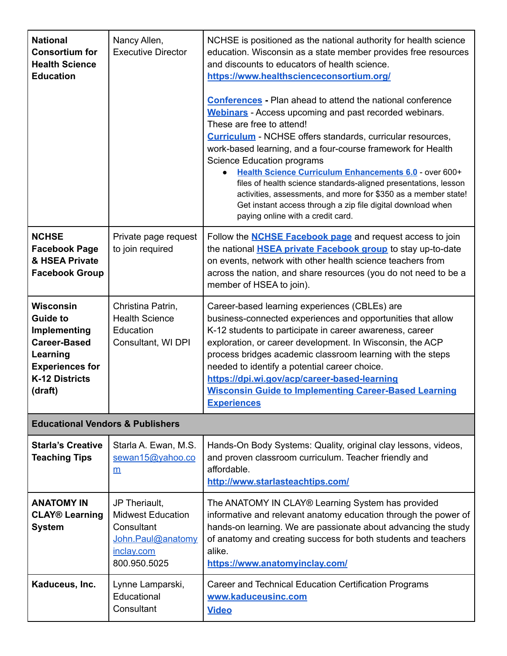| <b>National</b><br><b>Consortium for</b><br><b>Health Science</b><br><b>Education</b>                                                                | Nancy Allen,<br><b>Executive Director</b>                                                                  | NCHSE is positioned as the national authority for health science<br>education. Wisconsin as a state member provides free resources<br>and discounts to educators of health science.<br>https://www.healthscienceconsortium.org/<br><b>Conferences - Plan ahead to attend the national conference</b><br><b>Webinars</b> - Access upcoming and past recorded webinars.<br>These are free to attend!<br><b>Curriculum</b> - NCHSE offers standards, curricular resources,<br>work-based learning, and a four-course framework for Health<br>Science Education programs<br>Health Science Curriculum Enhancements 6.0 - over 600+<br>files of health science standards-aligned presentations, lesson<br>activities, assessments, and more for \$350 as a member state!<br>Get instant access through a zip file digital download when<br>paying online with a credit card. |  |  |
|------------------------------------------------------------------------------------------------------------------------------------------------------|------------------------------------------------------------------------------------------------------------|-------------------------------------------------------------------------------------------------------------------------------------------------------------------------------------------------------------------------------------------------------------------------------------------------------------------------------------------------------------------------------------------------------------------------------------------------------------------------------------------------------------------------------------------------------------------------------------------------------------------------------------------------------------------------------------------------------------------------------------------------------------------------------------------------------------------------------------------------------------------------|--|--|
| <b>NCHSE</b><br><b>Facebook Page</b><br>& HSEA Private<br><b>Facebook Group</b>                                                                      | Private page request<br>to join required                                                                   | Follow the <b>NCHSE Facebook page</b> and request access to join<br>the national <b>HSEA private Facebook group</b> to stay up-to-date<br>on events, network with other health science teachers from<br>across the nation, and share resources (you do not need to be a<br>member of HSEA to join).                                                                                                                                                                                                                                                                                                                                                                                                                                                                                                                                                                     |  |  |
| <b>Wisconsin</b><br><b>Guide to</b><br>Implementing<br><b>Career-Based</b><br>Learning<br><b>Experiences for</b><br><b>K-12 Districts</b><br>(draft) | Christina Patrin,<br><b>Health Science</b><br>Education<br>Consultant, WI DPI                              | Career-based learning experiences (CBLEs) are<br>business-connected experiences and opportunities that allow<br>K-12 students to participate in career awareness, career<br>exploration, or career development. In Wisconsin, the ACP<br>process bridges academic classroom learning with the steps<br>needed to identify a potential career choice.<br>https://dpi.wi.gov/acp/career-based-learning<br><b>Wisconsin Guide to Implementing Career-Based Learning</b><br><b>Experiences</b>                                                                                                                                                                                                                                                                                                                                                                              |  |  |
| <b>Educational Vendors &amp; Publishers</b>                                                                                                          |                                                                                                            |                                                                                                                                                                                                                                                                                                                                                                                                                                                                                                                                                                                                                                                                                                                                                                                                                                                                         |  |  |
| <b>Starla's Creative</b><br><b>Teaching Tips</b>                                                                                                     | Starla A. Ewan, M.S.<br>sewan15@yahoo.co<br>m                                                              | Hands-On Body Systems: Quality, original clay lessons, videos,<br>and proven classroom curriculum. Teacher friendly and<br>affordable.<br>http://www.starlasteachtips.com/                                                                                                                                                                                                                                                                                                                                                                                                                                                                                                                                                                                                                                                                                              |  |  |
| <b>ANATOMY IN</b><br><b>CLAY<sup>®</sup></b> Learning<br><b>System</b>                                                                               | JP Theriault,<br><b>Midwest Education</b><br>Consultant<br>John.Paul@anatomy<br>inclay.com<br>800.950.5025 | The ANATOMY IN CLAY® Learning System has provided<br>informative and relevant anatomy education through the power of<br>hands-on learning. We are passionate about advancing the study<br>of anatomy and creating success for both students and teachers<br>alike.<br>https://www.anatomyinclay.com/                                                                                                                                                                                                                                                                                                                                                                                                                                                                                                                                                                    |  |  |
| Kaduceus, Inc.                                                                                                                                       | Lynne Lamparski,<br>Educational<br>Consultant                                                              | Career and Technical Education Certification Programs<br>www.kaduceusinc.com<br><b>Video</b>                                                                                                                                                                                                                                                                                                                                                                                                                                                                                                                                                                                                                                                                                                                                                                            |  |  |